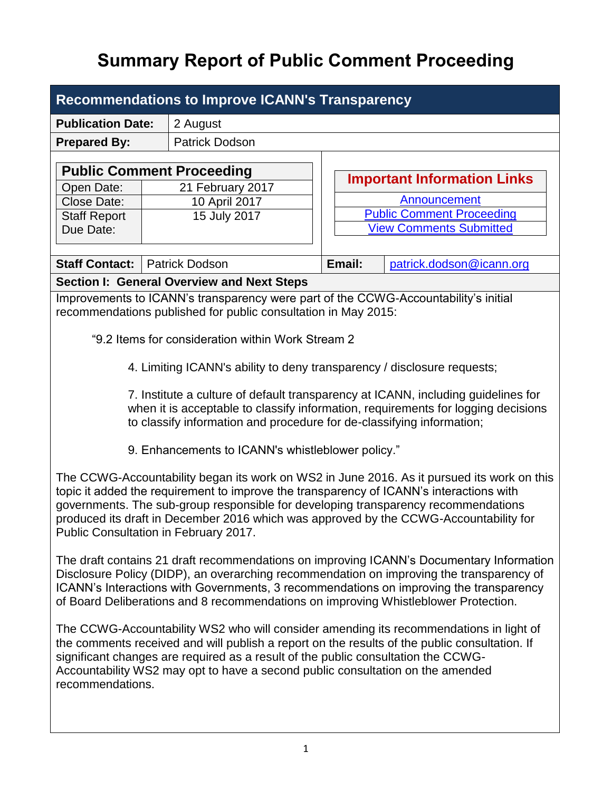# **Summary Report of Public Comment Proceeding**

| <b>Recommendations to Improve ICANN's Transparency</b> |               |                                                                |  |                                    |                                                                                     |  |  |
|--------------------------------------------------------|---------------|----------------------------------------------------------------|--|------------------------------------|-------------------------------------------------------------------------------------|--|--|
| <b>Publication Date:</b>                               |               | 2 August                                                       |  |                                    |                                                                                     |  |  |
| <b>Prepared By:</b>                                    |               | <b>Patrick Dodson</b>                                          |  |                                    |                                                                                     |  |  |
|                                                        |               | <b>Public Comment Proceeding</b>                               |  |                                    |                                                                                     |  |  |
| Open Date:                                             |               | 21 February 2017                                               |  | <b>Important Information Links</b> |                                                                                     |  |  |
| Close Date:                                            | 10 April 2017 |                                                                |  | Announcement                       |                                                                                     |  |  |
| <b>Staff Report</b>                                    |               | 15 July 2017                                                   |  | <b>Public Comment Proceeding</b>   |                                                                                     |  |  |
| Due Date:                                              |               |                                                                |  | <b>View Comments Submitted</b>     |                                                                                     |  |  |
|                                                        |               |                                                                |  |                                    |                                                                                     |  |  |
| <b>Staff Contact:</b>                                  |               | <b>Patrick Dodson</b>                                          |  | Email:                             | patrick.dodson@icann.org                                                            |  |  |
|                                                        |               | <b>Section I: General Overview and Next Steps</b>              |  |                                    |                                                                                     |  |  |
|                                                        |               | recommendations published for public consultation in May 2015: |  |                                    | Improvements to ICANN's transparency were part of the CCWG-Accountability's initial |  |  |

"9.2 Items for consideration within Work Stream 2

4. Limiting ICANN's ability to deny transparency / disclosure requests;

7. Institute a culture of default transparency at ICANN, including guidelines for when it is acceptable to classify information, requirements for logging decisions to classify information and procedure for de-classifying information;

9. Enhancements to ICANN's whistleblower policy."

The CCWG-Accountability began its work on WS2 in June 2016. As it pursued its work on this topic it added the requirement to improve the transparency of ICANN's interactions with governments. The sub-group responsible for developing transparency recommendations produced its draft in December 2016 which was approved by the CCWG-Accountability for Public Consultation in February 2017.

The draft contains 21 draft recommendations on improving ICANN's Documentary Information Disclosure Policy (DIDP), an overarching recommendation on improving the transparency of ICANN's Interactions with Governments, 3 recommendations on improving the transparency of Board Deliberations and 8 recommendations on improving Whistleblower Protection.

The CCWG-Accountability WS2 who will consider amending its recommendations in light of the comments received and will publish a report on the results of the public consultation. If significant changes are required as a result of the public consultation the CCWG-Accountability WS2 may opt to have a second public consultation on the amended recommendations.